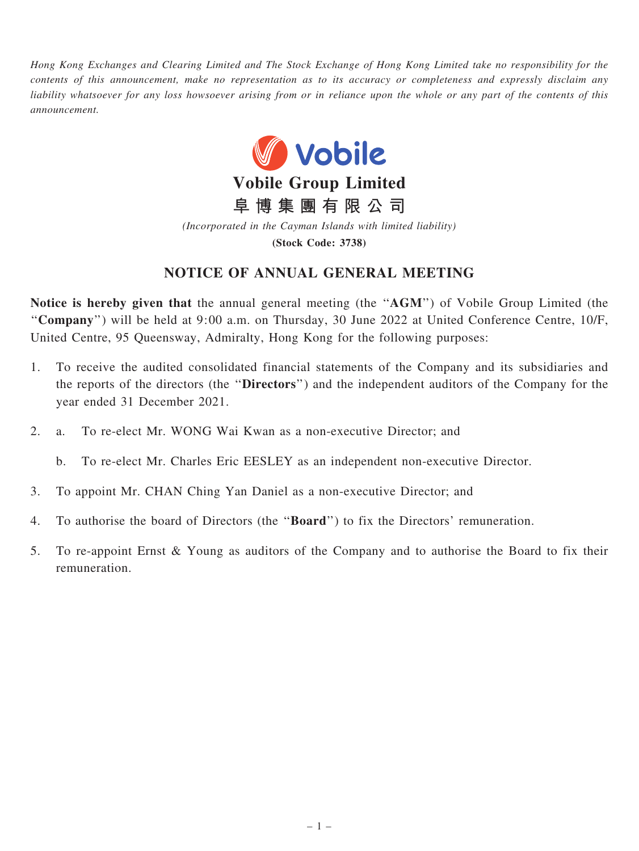Hong Kong Exchanges and Clearing Limited and The Stock Exchange of Hong Kong Limited take no responsibility for the contents of this announcement, make no representation as to its accuracy or completeness and expressly disclaim any liability whatsoever for any loss howsoever arising from or in reliance upon the whole or any part of the contents of this announcement.



阜 博 集 團 有 限 公 司

(Incorporated in the Cayman Islands with limited liability)

(Stock Code: 3738)

## NOTICE OF ANNUAL GENERAL MEETING

Notice is hereby given that the annual general meeting (the ''AGM'') of Vobile Group Limited (the ''Company'') will be held at 9:00 a.m. on Thursday, 30 June 2022 at United Conference Centre, 10/F, United Centre, 95 Queensway, Admiralty, Hong Kong for the following purposes:

- 1. To receive the audited consolidated financial statements of the Company and its subsidiaries and the reports of the directors (the ''Directors'') and the independent auditors of the Company for the year ended 31 December 2021.
- 2. a. To re-elect Mr. WONG Wai Kwan as a non-executive Director; and

b. To re-elect Mr. Charles Eric EESLEY as an independent non-executive Director.

- 3. To appoint Mr. CHAN Ching Yan Daniel as a non-executive Director; and
- 4. To authorise the board of Directors (the ''Board'') to fix the Directors' remuneration.
- 5. To re-appoint Ernst & Young as auditors of the Company and to authorise the Board to fix their remuneration.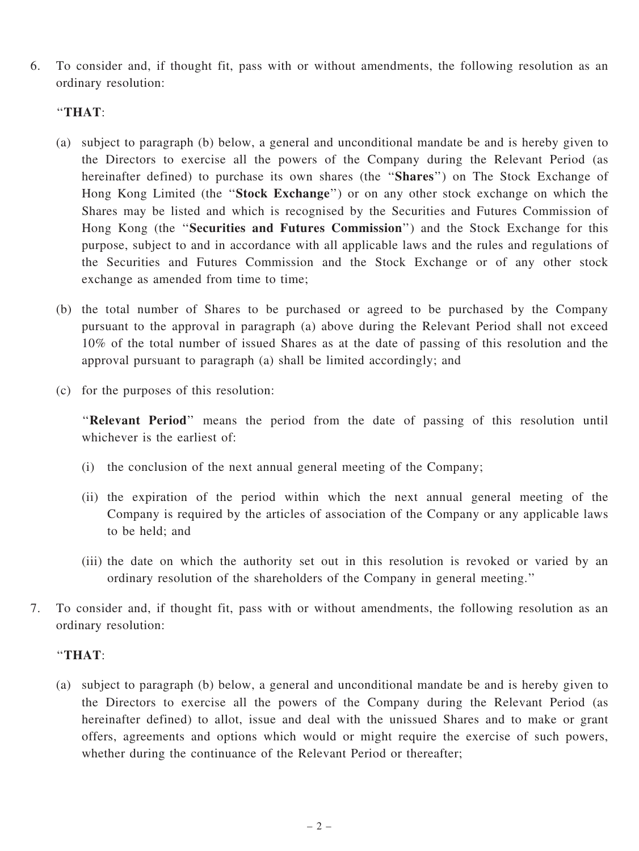6. To consider and, if thought fit, pass with or without amendments, the following resolution as an ordinary resolution:

## ''THAT:

- (a) subject to paragraph (b) below, a general and unconditional mandate be and is hereby given to the Directors to exercise all the powers of the Company during the Relevant Period (as hereinafter defined) to purchase its own shares (the "Shares") on The Stock Exchange of Hong Kong Limited (the ''Stock Exchange'') or on any other stock exchange on which the Shares may be listed and which is recognised by the Securities and Futures Commission of Hong Kong (the ''Securities and Futures Commission'') and the Stock Exchange for this purpose, subject to and in accordance with all applicable laws and the rules and regulations of the Securities and Futures Commission and the Stock Exchange or of any other stock exchange as amended from time to time;
- (b) the total number of Shares to be purchased or agreed to be purchased by the Company pursuant to the approval in paragraph (a) above during the Relevant Period shall not exceed 10% of the total number of issued Shares as at the date of passing of this resolution and the approval pursuant to paragraph (a) shall be limited accordingly; and
- (c) for the purposes of this resolution:

"Relevant Period" means the period from the date of passing of this resolution until whichever is the earliest of:

- (i) the conclusion of the next annual general meeting of the Company;
- (ii) the expiration of the period within which the next annual general meeting of the Company is required by the articles of association of the Company or any applicable laws to be held; and
- (iii) the date on which the authority set out in this resolution is revoked or varied by an ordinary resolution of the shareholders of the Company in general meeting.''
- 7. To consider and, if thought fit, pass with or without amendments, the following resolution as an ordinary resolution:

## ''THAT:

(a) subject to paragraph (b) below, a general and unconditional mandate be and is hereby given to the Directors to exercise all the powers of the Company during the Relevant Period (as hereinafter defined) to allot, issue and deal with the unissued Shares and to make or grant offers, agreements and options which would or might require the exercise of such powers, whether during the continuance of the Relevant Period or thereafter;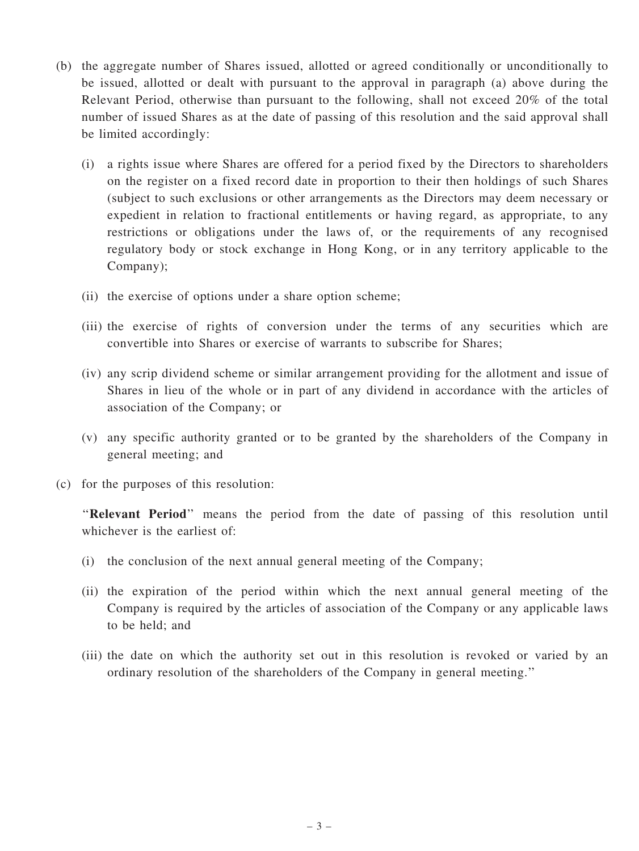- (b) the aggregate number of Shares issued, allotted or agreed conditionally or unconditionally to be issued, allotted or dealt with pursuant to the approval in paragraph (a) above during the Relevant Period, otherwise than pursuant to the following, shall not exceed 20% of the total number of issued Shares as at the date of passing of this resolution and the said approval shall be limited accordingly:
	- (i) a rights issue where Shares are offered for a period fixed by the Directors to shareholders on the register on a fixed record date in proportion to their then holdings of such Shares (subject to such exclusions or other arrangements as the Directors may deem necessary or expedient in relation to fractional entitlements or having regard, as appropriate, to any restrictions or obligations under the laws of, or the requirements of any recognised regulatory body or stock exchange in Hong Kong, or in any territory applicable to the Company);
	- (ii) the exercise of options under a share option scheme;
	- (iii) the exercise of rights of conversion under the terms of any securities which are convertible into Shares or exercise of warrants to subscribe for Shares;
	- (iv) any scrip dividend scheme or similar arrangement providing for the allotment and issue of Shares in lieu of the whole or in part of any dividend in accordance with the articles of association of the Company; or
	- (v) any specific authority granted or to be granted by the shareholders of the Company in general meeting; and
- (c) for the purposes of this resolution:

''Relevant Period'' means the period from the date of passing of this resolution until whichever is the earliest of:

- (i) the conclusion of the next annual general meeting of the Company;
- (ii) the expiration of the period within which the next annual general meeting of the Company is required by the articles of association of the Company or any applicable laws to be held; and
- (iii) the date on which the authority set out in this resolution is revoked or varied by an ordinary resolution of the shareholders of the Company in general meeting.''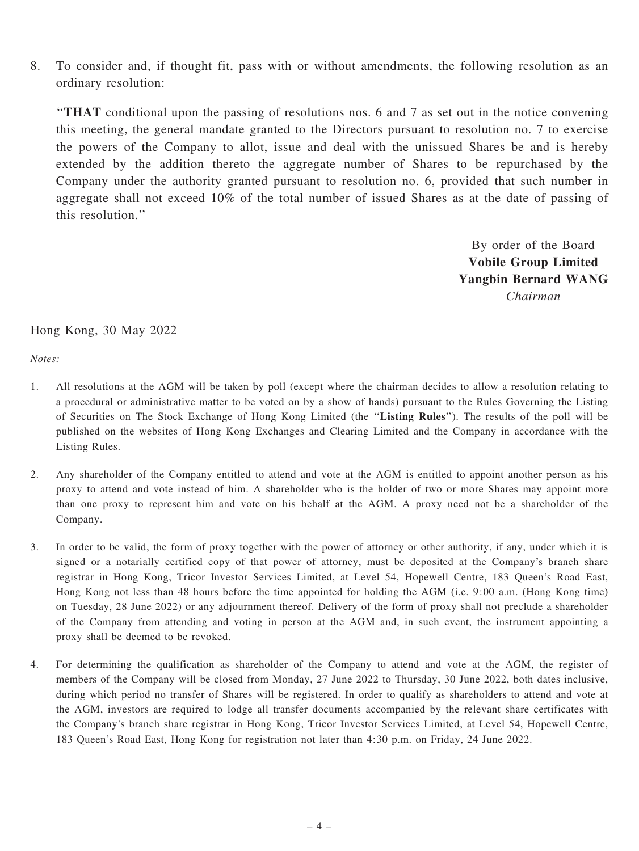8. To consider and, if thought fit, pass with or without amendments, the following resolution as an ordinary resolution:

''THAT conditional upon the passing of resolutions nos. 6 and 7 as set out in the notice convening this meeting, the general mandate granted to the Directors pursuant to resolution no. 7 to exercise the powers of the Company to allot, issue and deal with the unissued Shares be and is hereby extended by the addition thereto the aggregate number of Shares to be repurchased by the Company under the authority granted pursuant to resolution no. 6, provided that such number in aggregate shall not exceed 10% of the total number of issued Shares as at the date of passing of this resolution.''

> By order of the Board Vobile Group Limited Yangbin Bernard WANG Chairman

## Hong Kong, 30 May 2022

Notes:

- 1. All resolutions at the AGM will be taken by poll (except where the chairman decides to allow a resolution relating to a procedural or administrative matter to be voted on by a show of hands) pursuant to the Rules Governing the Listing of Securities on The Stock Exchange of Hong Kong Limited (the ''Listing Rules''). The results of the poll will be published on the websites of Hong Kong Exchanges and Clearing Limited and the Company in accordance with the Listing Rules.
- 2. Any shareholder of the Company entitled to attend and vote at the AGM is entitled to appoint another person as his proxy to attend and vote instead of him. A shareholder who is the holder of two or more Shares may appoint more than one proxy to represent him and vote on his behalf at the AGM. A proxy need not be a shareholder of the Company.
- 3. In order to be valid, the form of proxy together with the power of attorney or other authority, if any, under which it is signed or a notarially certified copy of that power of attorney, must be deposited at the Company's branch share registrar in Hong Kong, Tricor Investor Services Limited, at Level 54, Hopewell Centre, 183 Queen's Road East, Hong Kong not less than 48 hours before the time appointed for holding the AGM (i.e. 9:00 a.m. (Hong Kong time) on Tuesday, 28 June 2022) or any adjournment thereof. Delivery of the form of proxy shall not preclude a shareholder of the Company from attending and voting in person at the AGM and, in such event, the instrument appointing a proxy shall be deemed to be revoked.
- 4. For determining the qualification as shareholder of the Company to attend and vote at the AGM, the register of members of the Company will be closed from Monday, 27 June 2022 to Thursday, 30 June 2022, both dates inclusive, during which period no transfer of Shares will be registered. In order to qualify as shareholders to attend and vote at the AGM, investors are required to lodge all transfer documents accompanied by the relevant share certificates with the Company's branch share registrar in Hong Kong, Tricor Investor Services Limited, at Level 54, Hopewell Centre, 183 Queen's Road East, Hong Kong for registration not later than 4:30 p.m. on Friday, 24 June 2022.